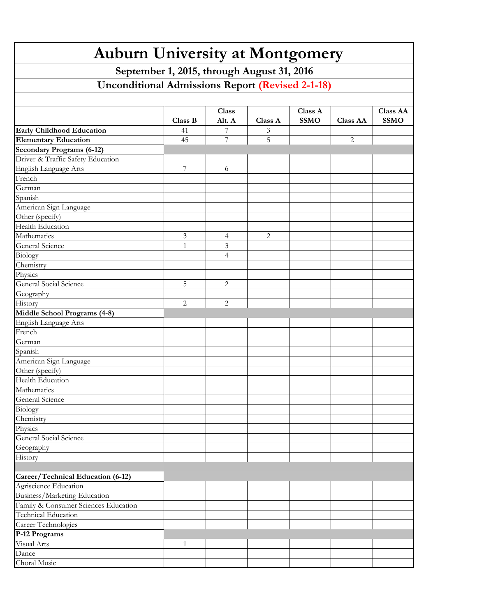| <b>Auburn University at Montgomery</b>                                |         |                |         |             |                 |                 |  |  |  |  |  |
|-----------------------------------------------------------------------|---------|----------------|---------|-------------|-----------------|-----------------|--|--|--|--|--|
| September 1, 2015, through August 31, 2016                            |         |                |         |             |                 |                 |  |  |  |  |  |
| <b>Unconditional Admissions Report (Revised 2-1-18)</b>               |         |                |         |             |                 |                 |  |  |  |  |  |
|                                                                       |         |                |         |             |                 |                 |  |  |  |  |  |
|                                                                       |         |                |         |             |                 |                 |  |  |  |  |  |
|                                                                       |         | Class          |         | Class A     |                 | <b>Class AA</b> |  |  |  |  |  |
|                                                                       | Class B | Alt. A         | Class A | <b>SSMO</b> | <b>Class AA</b> | <b>SSMO</b>     |  |  |  |  |  |
| <b>Early Childhood Education</b>                                      | 41      | 7              | 3       |             |                 |                 |  |  |  |  |  |
| <b>Elementary Education</b>                                           | 45      | 7              | 5       |             | 2               |                 |  |  |  |  |  |
| <b>Secondary Programs (6-12)</b><br>Driver & Traffic Safety Education |         |                |         |             |                 |                 |  |  |  |  |  |
| English Language Arts                                                 | 7       |                |         |             |                 |                 |  |  |  |  |  |
| French                                                                |         | 6              |         |             |                 |                 |  |  |  |  |  |
| German                                                                |         |                |         |             |                 |                 |  |  |  |  |  |
| Spanish                                                               |         |                |         |             |                 |                 |  |  |  |  |  |
| American Sign Language                                                |         |                |         |             |                 |                 |  |  |  |  |  |
| Other (specify)                                                       |         |                |         |             |                 |                 |  |  |  |  |  |
| Health Education                                                      |         |                |         |             |                 |                 |  |  |  |  |  |
| Mathematics                                                           | 3       | 4              | 2       |             |                 |                 |  |  |  |  |  |
| General Science                                                       | 1       | 3              |         |             |                 |                 |  |  |  |  |  |
|                                                                       |         | $\overline{4}$ |         |             |                 |                 |  |  |  |  |  |
| Biology<br>Chemistry                                                  |         |                |         |             |                 |                 |  |  |  |  |  |
| Physics                                                               |         |                |         |             |                 |                 |  |  |  |  |  |
| General Social Science                                                | 5       | 2              |         |             |                 |                 |  |  |  |  |  |
| Geography                                                             |         |                |         |             |                 |                 |  |  |  |  |  |
| History                                                               | 2       | 2              |         |             |                 |                 |  |  |  |  |  |
| Middle School Programs (4-8)                                          |         |                |         |             |                 |                 |  |  |  |  |  |
| English Language Arts                                                 |         |                |         |             |                 |                 |  |  |  |  |  |
| French                                                                |         |                |         |             |                 |                 |  |  |  |  |  |
| German                                                                |         |                |         |             |                 |                 |  |  |  |  |  |
| Spanish                                                               |         |                |         |             |                 |                 |  |  |  |  |  |
| American Sign Language                                                |         |                |         |             |                 |                 |  |  |  |  |  |
| Other (specify)                                                       |         |                |         |             |                 |                 |  |  |  |  |  |
| Health Education                                                      |         |                |         |             |                 |                 |  |  |  |  |  |
| Mathematics                                                           |         |                |         |             |                 |                 |  |  |  |  |  |
| General Science                                                       |         |                |         |             |                 |                 |  |  |  |  |  |
| Biology                                                               |         |                |         |             |                 |                 |  |  |  |  |  |
|                                                                       |         |                |         |             |                 |                 |  |  |  |  |  |
| Chemistry<br>Physics                                                  |         |                |         |             |                 |                 |  |  |  |  |  |
| General Social Science                                                |         |                |         |             |                 |                 |  |  |  |  |  |
| Geography                                                             |         |                |         |             |                 |                 |  |  |  |  |  |
| History                                                               |         |                |         |             |                 |                 |  |  |  |  |  |
|                                                                       |         |                |         |             |                 |                 |  |  |  |  |  |
| Career/Technical Education (6-12)                                     |         |                |         |             |                 |                 |  |  |  |  |  |
| Agriscience Education                                                 |         |                |         |             |                 |                 |  |  |  |  |  |
| Business/Marketing Education                                          |         |                |         |             |                 |                 |  |  |  |  |  |
| Family & Consumer Sciences Education                                  |         |                |         |             |                 |                 |  |  |  |  |  |
| Technical Education                                                   |         |                |         |             |                 |                 |  |  |  |  |  |
| Career Technologies                                                   |         |                |         |             |                 |                 |  |  |  |  |  |
| P-12 Programs                                                         |         |                |         |             |                 |                 |  |  |  |  |  |
| Visual Arts                                                           | 1       |                |         |             |                 |                 |  |  |  |  |  |
| Dance                                                                 |         |                |         |             |                 |                 |  |  |  |  |  |
| Choral Music                                                          |         |                |         |             |                 |                 |  |  |  |  |  |